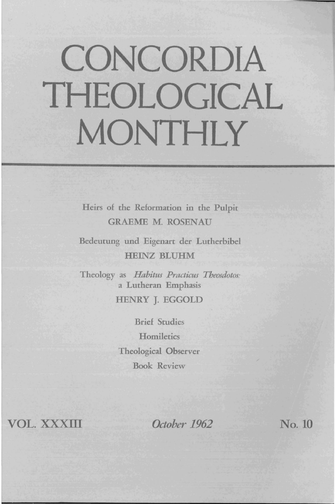## **CONCORDIA THEOLOGICAL MONTHLY**

Heirs of the Reformation in the Pulpit **GRAEME M. ROSENAU** 

Bedeutung und Eigenart der Lutherbibel HEINZ BLUHM

Theology as *Habitus Practicus Theosdotos:*  a Lutheran Emphasis HENRY J. EGGOLD

> Brief Studies **Homiletics** Theological Observer Book Review

VOL. xxxm

*October 1962* No. 10

I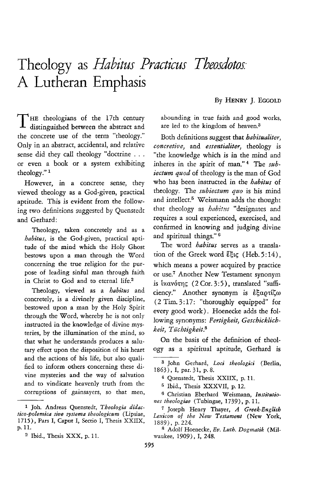## **Theology** as *\_liabitus Practicus Theosdotos:*  A Lutheran Emphasis

By HENRY]. EGGOLD

T HE theologians of the 17th century distinguished between the abstract and the concrete use of the term "theology." Only in an abstract, accidental, and relative sense did they call theology "doctrine ... or even a book or a system exhibiting theology." 1

However, in a concrete sense, they viewed theology as a God-given, practical aptitude. This is evident from the following two definitions suggested by Qucnstedt and Gerhard:

Theology, taken concretely and as a *habitus,* is the God-given, practical aptitude of the mind which the Holy Ghost bestows upon a man through the Word concerning the true religion for the purpose of leading sinful man through faith in Christ to God and to eternal life.2

Theology, viewed as a *habitus* and concretely, is a divinely given discipline, bestowed upon a man by the Holy Spirit through the Word, whereby he is not only instructed in the knowledge of divine mysteries, by the illumination of the mind, so that what he understands produces a salutary effect upon the disposition of his heart and the actions of his life, but also qualified to inform others concerning these divine mysteries and the way of salvation and to vindicate heavenly truth from the corruptions of gainsayers, so that men, abounding in true faith and good works, are led to the kingdom of heaven.<sup>3</sup>

Both definitions suggest that *habitualiter, concretive,* and *essentialiter,* theology is "the knowledge which is in the mind and inheres in the spirit of man."<sup>4</sup> The sub*iectum quod* of theology is the man of God who has been instructed in the *habitus* of theology. The *subiectum quo* is his mind and intellect.<sup>5</sup> Weismann adds the thought that theology as *habitus* "designates and requires a soul experienced, exercised, and confirmed in knowing and judging divine and spiritual things." 6

The word *habitus* serves as a translation of the Greek word  $E_{\text{eff}}$  (Heb. 5:14), which means a power acquired by practice or use.7 Another New Testament synonym is  $i \times \alpha \nu \acute{\sigma} \tau \eta \varsigma$  (2 Cor. 3:5), translated "sufficiency." Another synonym is  $\dot{\epsilon} \xi \alpha \rho \tau \zeta \omega$ (2 Tim. 3: 17: "thoroughly equipped" for every good work). Hoenecke adds the following synonyms: *Fertigkeit, Geschicklichkeit, Tuchtigkeit.8* 

On the basis of the definition of theology as a spiritual aptitude, Gerhard is

5 Ibid., Thesis XXXVII, p. 12.

6 Christian Eberhard Weismann, *Institutio- /Zes theologiae* (Tubingae, 1739), p. 11.

<sup>1</sup> Joh. Andreas Quenstedt, *Theologia didactico-Polemica Jive sYJtema theologicum* (Lipsiae, 1715) , Pars I, Caput I, Sectio I, Thesis XXIIX, p.ll.

<sup>2</sup> Ibid., Thesis XXX, p. 11.

<sup>3</sup> John Gerhard, *Loci theologici* (Berlin, 1863), I, par. 31, p.8.

<sup>4</sup> Quenstedt, Thesis XXIIX, p. 11.

<sup>7</sup> Joseph Henry Thayer, *A Greek-English Lexicon of the New Testament* (New York, 1889), p. 224.

<sup>8</sup> Adolf Hoenecke, *Ev. Luth. Dogmatik* (Milwaukee, 1909), I, 248.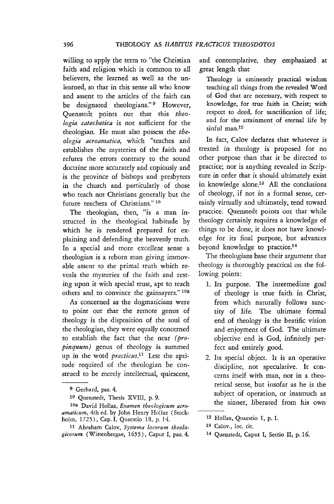willing to apply the term to "the Christian faith and religion which is common to all believers, the learned as well as the unlearned, so that in this sense all who know and assent to the articles of the faith can be designated theologians." <sup>9</sup> However, Quenstedt points out that this *theologia catechetica* is not sufficient for the theologian. He must also possess the *theologia acroamatica,* which "teaches and establishes the mysteries of the faith and refutes the errors contrary to the sound doctrine more accurately and copiously and is the province of bishops and presbyters in the church and particularly of those who teach not Christians generally but the future teachers of Christians." 10

The theologian, then, "is a man instructed in the theological habitude by which he is rendered prepared for explaining and defending the heavenly truth. In a special and more excellent sense a theologian is a reborn man giving immovable assent to the primal truth which reveals the mysteries of the faith and resting upon it with special trust, apt to teach others and to convince the gainsayers."<sup>10a</sup>

As concerned as the dogmaticians were to point out that the remote genus of theology is the disposition of the soul of the theologian, they were equally concerned to establish the fact that the near *(propinquum)* genus of theology is summed up in the word *practicus*.<sup>11</sup> Lest the aptitude required of the theologian be construed to be merely intellectual, quiescent, and contemplative, they emphasized at great length that

Theology is eminently practical wisdom teaching all things from the revealed Word of God that are necessary, with respect to knowledge, for true faith in Christ; with respect to deed, for sanctification of life; and for the attainment of eternal life by sinful man. $12$ 

**In** fact, Calov declares that whatever is treated in theology is proposed for no other purpose than that it be directed to practice; nor is anything revealed in Scripture in order that it should ultimately exist in knowledge alone.13 All the conclusions of theology, if not in a formal sense, certainly virtually and ultimately, tend toward practice. Quenstedt points out that while theology certainly requires a knowledge of things to be done, it does not have knowledge for its final purpose, but advances beyond knowledge to practice.<sup>14</sup>

The theologians base their argument that theology is thoroughly practical on the following points:

- 1. Its purpose. The intermediate goal of theology is true faith in Christ, from which naturally follows sanctity of life. The ultimate formal end of theology is the beatific vision and enjoyment of God. The ultimate objective end is God, infinitely perfect and entirely good.
- 2. Its special object. It is an operative discipline, not speculative. It concerns itself with man, not in a theoretical sense, but insofar as he is the subject of operation, or inasmuch as the sinner, liberated from his own

<sup>9</sup> Gerhard, par. 4.

<sup>10</sup> Quenstedt, Thesis XVIII, p. 9.

lOa David Hollaz, *Examen theologicum aeroamaticum,* 4th ed. by John Henry Hollaz (Stockholm, 1725), Cap. I, Quaestio 18, p. 14.

<sup>11</sup> Abraham Calov, *Systema locorum theologicorum* (Wittenbergae, 1655), Caput I, par. 4.

<sup>12</sup> Hollaz, Quaestio 1, p. 1.

<sup>13</sup> Calov., loc. cit.

<sup>14</sup> Quenstedt, Caput I, Sectio II, p. 16.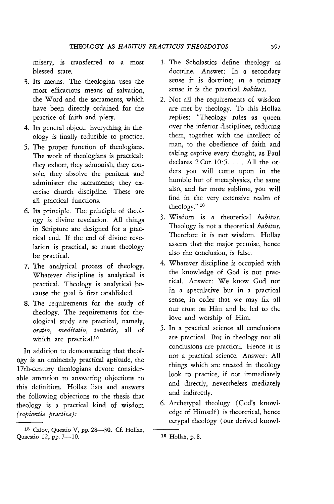misery, is transferred to a most blessed state.

- 3. Its means. The theologian uses the most efficacious means of salvation, the Word and the sacraments, which have been directly ordained for the practice of faith and piety.
- 4. Its general object. Everything in theology is finally reducible to practice.
- 5. The proper function of theologians. The work of theologians is practical: they exhort, they admonish, they console, they absolve the penitent and administer the sacraments; they exercise church discipline. These are all practical functions.
- 6. Its principle. The principle of theology is divine revelation. All things in Scripture are designed for a practical end. If the end of divine revelation is practical, so must theology be practical.
- 7. The analytical process of theology. Whatever discipline is analytical is practical. Theology is analytical because the goal is first established.
- 8. The requirements for the study of theology. The requirements for theological study are practical, namely, *oratio, meditatio, tentatio,* all of which are practical.<sup>15</sup>

In addition to demonstrating that theology is an eminently practical aptitude, the 17th-century theologians devote considerable attention to answering objections to this definition. Hollaz lists and answers the following objections to the thesis that theology is a practical kind of wisdom *(sapientia practica):* 

- 1. The Scholastics define theology as doctrine. Answer: In a secondary sense it is doctrine; in a primary sense it is the practical *habitus.*
- 2. Not all the requirements of wisdom are met by theology. To this Hollaz replies: "Theology rules as queen over the inferior disciplines, reducing them, together with the intellect of man, to the obedience of faith and taking captive every thought, as Paul declares 2 Cor. 10:5. . . . All the orders you will come upon in the humble hut of metaphysics, the same also, and far more sublime, you will find in the very extensive realm of theology." 16
- 3. Wisdom is a theoretical *habitus.*  Theology is not a theoretical *habitus.*  Therefore it is not wisdom. Hollaz asserts that the major premise, hence also the conclusion, is false.
- 4. Whatever discipline is occupied with the knowledge of God is not practical. Answer: We know God not in a speculative but in a practical sense, in order that we may fix all our trust on Him and be led to the love and worship of Him.
- 5. In a practical science all conclusions are practical. But in theology not all conclusions are practical. Hence it *is*  not a practical science. Answer: All things which are treated in theology look to practice, if not immediately and directly, nevertheless mediately and indirectly.
- 6. Archetypal theology (God's knowledge of Himself) is theoretical, hence ectypal theology (our derived knowl-

<sup>15</sup> Calov, Questio V, pp. 28-30. Cf. Hollaz, Quaestio 12, pp. 7-10.

<sup>16</sup> Hollaz, p. 8.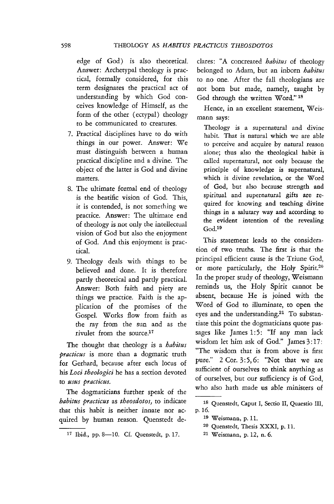edge of God) is also theoretical. Answer: Archetypal theology is practical, formally considered, for this term designates the practical act of understanding by which God conceives knowledge of Himself, as the form of the other (ectypal) theology to be communicated to creatures.

- 7. Practical disciplines have to do with things in our power. Answer: We must distinguish between a human practical discipline and a divine. The object of the latter is God and divine matters.
- 8. The ultimate formal end of theology is the beatific vision of God. This, it is contended, is not something we practice. Answer: The ultimate end of rheology is not only the intellectual vision of God but also the enjoyment of God. And this enjoyment is practical.
- 9. Theology deals with things to be believed and done. It is therefore partly theoretical and partly practical. Answer: Both faith and piety are things we practice. Faith is the application of the promises of the Gospel. Works flow from faith as the ray from the sun and as the rivulet from the source. $17$

The thought that theology is a *habitus practicus* is more than a dogmatic truth for Gerhard, because after each locus of his *Loci theologici* he has a section devoted to *usus practicus.* 

The dogmaticians further speak of the *habitus practicus* as *theosdotos,* to indicate that this habit is neither innate nor acquired by human reason. Quenstedt deelares: "A concreated *habitus* of theology belonged to Adam, but an inborn *habitus*  to no one. After the fall theologians are not born but made, namely, taught by God through the written Word." 18

Hence, in an excellent statement, Weismann says:

Theology is a supernatural and divine habit. That is natural which we are able to perceive and acquire by natural reason alone; thus also the theological habit is called supernatural, not only because the principle of knowledge is supernatural, which is divine revelation, or the Word of God, but also because strength and spiritual and supernatural gifts are required for knowing and teaching divine things in a salutary way and according to the evident intention of the revealing God.<sup>19</sup>

This statement leads to the consideration of two truths. The first is that the principal efficient cause is the Triune God, or more particularly, the Holy Spirit.<sup>20</sup> In the proper study of theology, Weismann reminds us, the Holy Spirit cannot be absent, because He is joined with the Word of God to illuminate, to open the eyes and the understanding.<sup>21</sup> To substantiate this point the dogmaticians quote passages like James 1:5: "If any man lack wisdom let him ask of God." James 3:17: "The wisdom that is from above is first pure."  $2$  Cor.  $3:5, 6$ : "Not that we are sufficient of ourselves to think anything as of ourselves, but our sufficiency is of God, who also hath made us able ministers of

21 Weismann, p. 12, n.6.

<sup>17</sup> Ibid., pp. 8-10. Cf. Quenstedt, p. 17.

<sup>18</sup> Quenstedt, Caput I, Sectio II, Quaestio III, p.16.

<sup>19</sup> Weismann, p. 11.

<sup>20</sup> Quenstedt, Thesis XXXI, p. 11.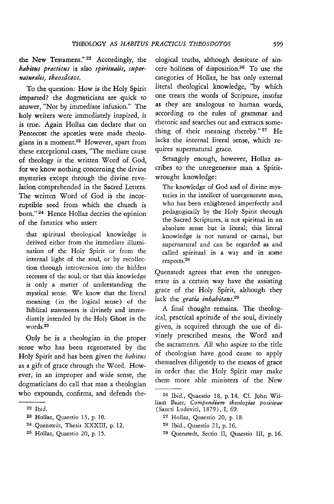the New Testament." 22 Accordingly, the *habitus practicus* is also *spiritualis, super* $natural$ *s*, *theosdotos*.

To the question: How *is* the Holy Spirit imparted? the dogmaticians are quick to answer, "Not by immediate infusion." The holy writers were immediately inspired, it is true. Again Hollaz can declare that on Pentecost the apostles were made theologians in a moment.23 However, apart from these exceptional cases, "The mediate cause of theology is the written Word of God, for we know nothing concerning the divine mysteries except through the divine revelation comprehended in the Sacred Letters. The written Word of God is the incorruptible seed from which the church is born." 24 Hence Hollaz decries the opinion of the fanatics who assert

that spiritual theological knowledge is derived either from the immediate illumination of the Holy Spirit or from the internal light of the soul, or by recollection through introversion into the hidden recesses of the soul, or that this knowledge is only a matter of understanding the mystical sense. We know that the literal meaning (in the logical sense) of the Biblical statements is divinely and immediately intended by the Holy Ghost in the words.25

Only he is a theologian in the proper sense who has been regenerated by the Holy Spirit and has been given the *habitus*  as a gift of grace through the Word. However, in an improper and wide sense, the dogmaticians do call that man a theologian who expounds, confirms, and defends the-

ological truths, although destitute of sincere holiness of disposition.26 To use the categories of Hollaz, he has only external literal theological knowledge, "by which one treats the words of Scripture, insofar as they are analogous to human words, according to the rules of grammar and rhetoric and searches out and extracts something of their meaning thereby." 27 He lacks the internal literal sense, which requires supernatural grace.

Strangely enough, however, Hollaz ascribes to the unregenerate man a Spiritwrought knowledge:

The knowledge of God and of divine mysteries in the intellect of unregenerate man, who has been enlightened imperfectly and pedagogically by the Holy Spirit through the Sacred Scriptures, is not spiritual in an absolute sense but *is* literal; this literal know ledge is not natural or carnal, but supernatural and can be regarded as and called spiritual in a way and in some respects.28

Quenstedt agrees that even the unregenerate in a certain way have the assisting grace of the Holy Spirit, although they lack the *gratia inhabitans.29* 

A final thought remains. The theological, practical aptitude of the soul, divinely given, is acquired through the use of divinely prescribed means, the Word and the sacraments. All who aspire to the title of theologian have good cause to apply themselves diligently to the means of grace in order that the Holy Spirit may make them more able ministers of the New

29 Quenstedt, Seetio II, Quaestio III, p. 16.

<sup>22</sup>Ibid.

<sup>23</sup> Hollaz, Quaestio 13, p. 10.

<sup>24</sup> Quenstedt, Thesis XXXIII, p. 12.

<sup>25</sup> Hollaz, Quaestio 20, p. 15.

<sup>26</sup> Ibid., Quaestio 18, p. 14. Cf. John William Baier, *Compendium theologiae positivae*  (Sancti Ludovici, 1879), I, 69.

<sup>27</sup> Hollaz, Quaestio 20, p. 18.

<sup>28</sup> Ibid., Quaestio 21, p. 16.